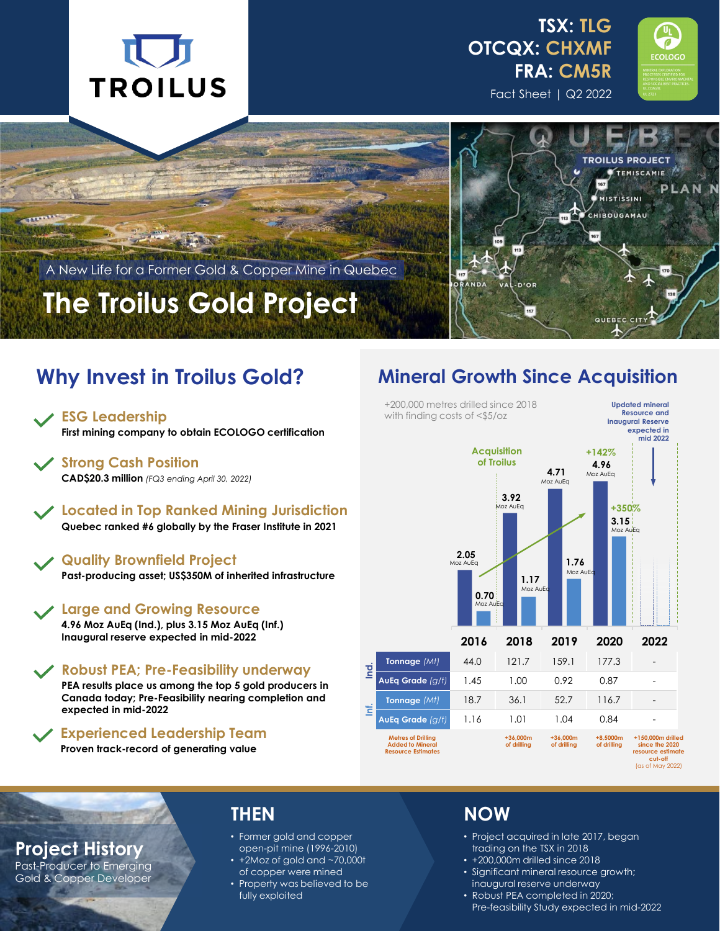







A New Life for a Former Gold & Copper Mine in Quebec

# **The Troilus Gold Project**

## **Why Invest in Troilus Gold?**

**First mining company to obtain ECOLOGO certification**

**Strong Cash Position CAD\$20.3 million** *(FQ3 ending April 30, 2022)*

**Located in Top Ranked Mining Jurisdiction Quebec ranked #6 globally by the Fraser Institute in 2021**

### **Quality Brownfield Project**

**Past-producing asset; US\$350M of inherited infrastructure**

**Large and Growing Resource**

**4.96 Moz AuEq (Ind.), plus 3.15 Moz AuEq (Inf.) Inaugural reserve expected in mid-2022**

**Robust PEA; Pre-Feasibility underway**

**PEA results place us among the top 5 gold producers in Canada today; Pre-Feasibility nearing completion and expected in mid-2022**

**Experienced Leadership Team**

**Proven track-record of generating value**

### **Mineral Growth Since Acquisition**



**Project History**

Past-Producer to Emerging Gold & Copper Developer

### **THEN**

- Former gold and copper open-pit mine (1996-2010)
- +2Moz of gold and ~70,000t of copper were mined
- Property was believed to be fully exploited

### **NOW**

- Project acquired in late 2017, began trading on the TSX in 2018
- +200,000m drilled since 2018
- Significant mineral resource growth; inaugural reserve underway
- Robust PEA completed in 2020;
	- Pre-feasibility Study expected in mid-2022